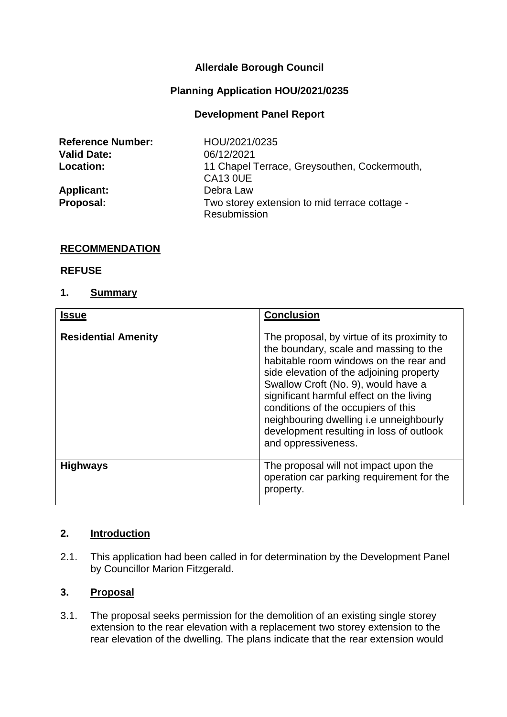## **Allerdale Borough Council**

### **Planning Application HOU/2021/0235**

### **Development Panel Report**

| <b>Reference Number:</b> | HOU/2021/0235                                                   |
|--------------------------|-----------------------------------------------------------------|
| <b>Valid Date:</b>       | 06/12/2021                                                      |
| <b>Location:</b>         | 11 Chapel Terrace, Greysouthen, Cockermouth,<br><b>CA13 0UE</b> |
| <b>Applicant:</b>        | Debra Law                                                       |
| Proposal:                | Two storey extension to mid terrace cottage -<br>Resubmission   |

#### **RECOMMENDATION**

#### **REFUSE**

#### **1. Summary**

| <b>Issue</b>               | <b>Conclusion</b>                                                                                                                                                                                                                                                                                                                                                                                                   |
|----------------------------|---------------------------------------------------------------------------------------------------------------------------------------------------------------------------------------------------------------------------------------------------------------------------------------------------------------------------------------------------------------------------------------------------------------------|
| <b>Residential Amenity</b> | The proposal, by virtue of its proximity to<br>the boundary, scale and massing to the<br>habitable room windows on the rear and<br>side elevation of the adjoining property<br>Swallow Croft (No. 9), would have a<br>significant harmful effect on the living<br>conditions of the occupiers of this<br>neighbouring dwelling i.e unneighbourly<br>development resulting in loss of outlook<br>and oppressiveness. |
| <b>Highways</b>            | The proposal will not impact upon the<br>operation car parking requirement for the<br>property.                                                                                                                                                                                                                                                                                                                     |

#### **2. Introduction**

2.1. This application had been called in for determination by the Development Panel by Councillor Marion Fitzgerald.

### **3. Proposal**

3.1. The proposal seeks permission for the demolition of an existing single storey extension to the rear elevation with a replacement two storey extension to the rear elevation of the dwelling. The plans indicate that the rear extension would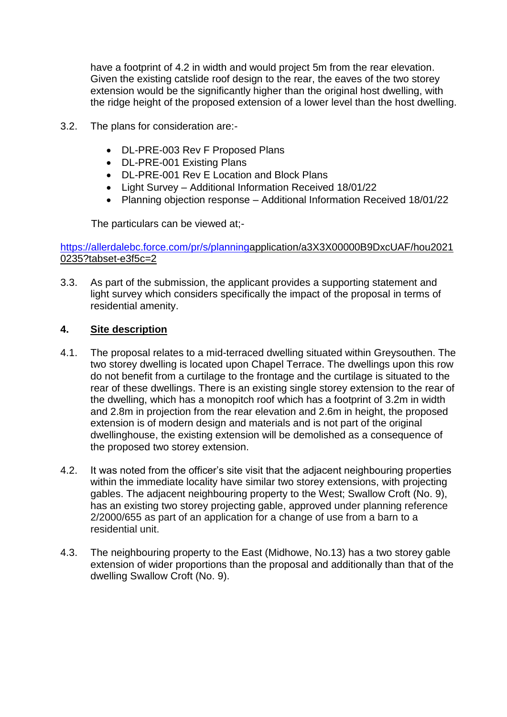have a footprint of 4.2 in width and would project 5m from the rear elevation. Given the existing catslide roof design to the rear, the eaves of the two storey extension would be the significantly higher than the original host dwelling, with the ridge height of the proposed extension of a lower level than the host dwelling.

- 3.2. The plans for consideration are:-
	- DL-PRE-003 Rev F Proposed Plans
	- DL-PRE-001 Existing Plans
	- DL-PRE-001 Rev E Location and Block Plans
	- Light Survey Additional Information Received 18/01/22
	- Planning objection response Additional Information Received 18/01/22

The particulars can be viewed at;-

### [https://allerdalebc.force.com/pr/s/planninga](https://allerdalebc.force.com/pr/s/planning)pplication/a3X3X00000B9DxcUAF/hou2021 0235?tabset-e3f5c=2

3.3. As part of the submission, the applicant provides a supporting statement and light survey which considers specifically the impact of the proposal in terms of residential amenity.

## **4. Site description**

- 4.1. The proposal relates to a mid-terraced dwelling situated within Greysouthen. The two storey dwelling is located upon Chapel Terrace. The dwellings upon this row do not benefit from a curtilage to the frontage and the curtilage is situated to the rear of these dwellings. There is an existing single storey extension to the rear of the dwelling, which has a monopitch roof which has a footprint of 3.2m in width and 2.8m in projection from the rear elevation and 2.6m in height, the proposed extension is of modern design and materials and is not part of the original dwellinghouse, the existing extension will be demolished as a consequence of the proposed two storey extension.
- 4.2. It was noted from the officer's site visit that the adjacent neighbouring properties within the immediate locality have similar two storey extensions, with projecting gables. The adjacent neighbouring property to the West; Swallow Croft (No. 9), has an existing two storey projecting gable, approved under planning reference 2/2000/655 as part of an application for a change of use from a barn to a residential unit.
- 4.3. The neighbouring property to the East (Midhowe, No.13) has a two storey gable extension of wider proportions than the proposal and additionally than that of the dwelling Swallow Croft (No. 9).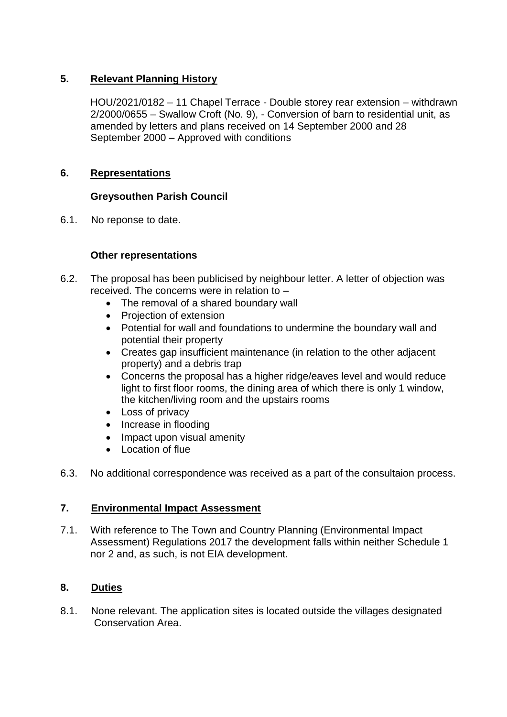# **5. Relevant Planning History**

HOU/2021/0182 – 11 Chapel Terrace - Double storey rear extension – withdrawn 2/2000/0655 – Swallow Croft (No. 9), - Conversion of barn to residential unit, as amended by letters and plans received on 14 September 2000 and 28 September 2000 – Approved with conditions

# **6. Representations**

# **Greysouthen Parish Council**

6.1. No reponse to date.

## **Other representations**

- 6.2. The proposal has been publicised by neighbour letter. A letter of objection was received. The concerns were in relation to –
	- The removal of a shared boundary wall
	- Projection of extension
	- Potential for wall and foundations to undermine the boundary wall and potential their property
	- Creates gap insufficient maintenance (in relation to the other adjacent property) and a debris trap
	- Concerns the proposal has a higher ridge/eaves level and would reduce light to first floor rooms, the dining area of which there is only 1 window, the kitchen/living room and the upstairs rooms
	- Loss of privacy
	- Increase in flooding
	- Impact upon visual amenity
	- Location of flue
- 6.3. No additional correspondence was received as a part of the consultaion process.

## **7. Environmental Impact Assessment**

7.1. With reference to The Town and Country Planning (Environmental Impact Assessment) Regulations 2017 the development falls within neither Schedule 1 nor 2 and, as such, is not EIA development.

# **8. Duties**

8.1. None relevant. The application sites is located outside the villages designated Conservation Area.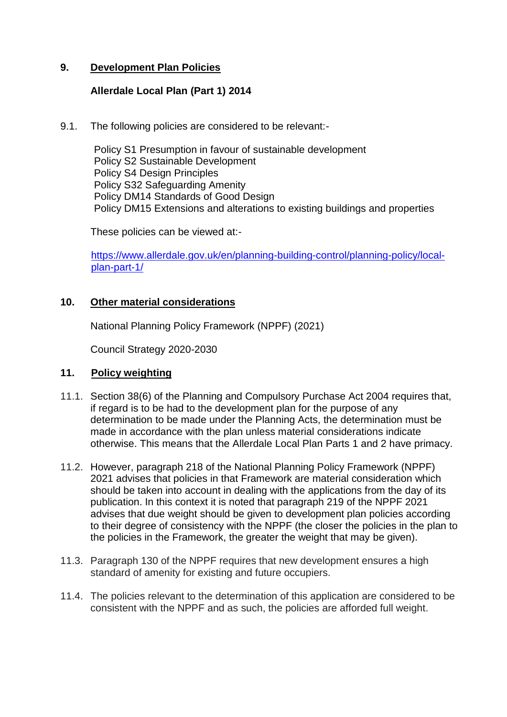## **9. Development Plan Policies**

### **Allerdale Local Plan (Part 1) 2014**

9.1. The following policies are considered to be relevant:-

Policy S1 Presumption in favour of sustainable development Policy S2 Sustainable Development Policy S4 Design Principles Policy S32 Safeguarding Amenity Policy DM14 Standards of Good Design Policy DM15 Extensions and alterations to existing buildings and properties

These policies can be viewed at:-

[https://www.allerdale.gov.uk/en/planning-building-control/planning-policy/local](https://www.allerdale.gov.uk/en/planning-building-control/planning-policy/local-plan-part-1/)[plan-part-1/](https://www.allerdale.gov.uk/en/planning-building-control/planning-policy/local-plan-part-1/)

## **10. Other material considerations**

National Planning Policy Framework (NPPF) (2021)

Council Strategy 2020-2030

### **11. Policy weighting**

- 11.1. Section 38(6) of the Planning and Compulsory Purchase Act 2004 requires that, if regard is to be had to the development plan for the purpose of any determination to be made under the Planning Acts, the determination must be made in accordance with the plan unless material considerations indicate otherwise. This means that the Allerdale Local Plan Parts 1 and 2 have primacy.
- 11.2. However, paragraph 218 of the National Planning Policy Framework (NPPF) 2021 advises that policies in that Framework are material consideration which should be taken into account in dealing with the applications from the day of its publication. In this context it is noted that paragraph 219 of the NPPF 2021 advises that due weight should be given to development plan policies according to their degree of consistency with the NPPF (the closer the policies in the plan to the policies in the Framework, the greater the weight that may be given).
- 11.3. Paragraph 130 of the NPPF requires that new development ensures a high standard of amenity for existing and future occupiers.
- 11.4. The policies relevant to the determination of this application are considered to be consistent with the NPPF and as such, the policies are afforded full weight.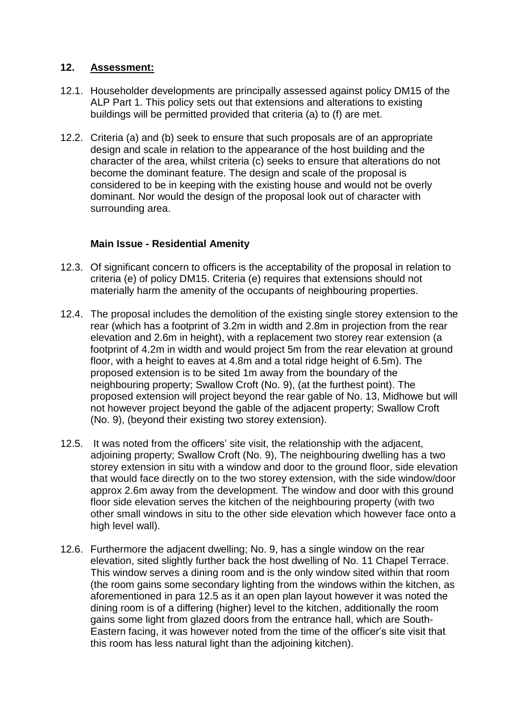## **12. Assessment:**

- 12.1. Householder developments are principally assessed against policy DM15 of the ALP Part 1. This policy sets out that extensions and alterations to existing buildings will be permitted provided that criteria (a) to (f) are met.
- 12.2. Criteria (a) and (b) seek to ensure that such proposals are of an appropriate design and scale in relation to the appearance of the host building and the character of the area, whilst criteria (c) seeks to ensure that alterations do not become the dominant feature. The design and scale of the proposal is considered to be in keeping with the existing house and would not be overly dominant. Nor would the design of the proposal look out of character with surrounding area.

## **Main Issue - Residential Amenity**

- 12.3. Of significant concern to officers is the acceptability of the proposal in relation to criteria (e) of policy DM15. Criteria (e) requires that extensions should not materially harm the amenity of the occupants of neighbouring properties.
- 12.4. The proposal includes the demolition of the existing single storey extension to the rear (which has a footprint of 3.2m in width and 2.8m in projection from the rear elevation and 2.6m in height), with a replacement two storey rear extension (a footprint of 4.2m in width and would project 5m from the rear elevation at ground floor, with a height to eaves at 4.8m and a total ridge height of 6.5m). The proposed extension is to be sited 1m away from the boundary of the neighbouring property; Swallow Croft (No. 9), (at the furthest point). The proposed extension will project beyond the rear gable of No. 13, Midhowe but will not however project beyond the gable of the adjacent property; Swallow Croft (No. 9), (beyond their existing two storey extension).
- 12.5. It was noted from the officers' site visit, the relationship with the adjacent, adjoining property; Swallow Croft (No. 9), The neighbouring dwelling has a two storey extension in situ with a window and door to the ground floor, side elevation that would face directly on to the two storey extension, with the side window/door approx 2.6m away from the development. The window and door with this ground floor side elevation serves the kitchen of the neighbouring property (with two other small windows in situ to the other side elevation which however face onto a high level wall).
- 12.6. Furthermore the adjacent dwelling; No. 9, has a single window on the rear elevation, sited slightly further back the host dwelling of No. 11 Chapel Terrace. This window serves a dining room and is the only window sited within that room (the room gains some secondary lighting from the windows within the kitchen, as aforementioned in para 12.5 as it an open plan layout however it was noted the dining room is of a differing (higher) level to the kitchen, additionally the room gains some light from glazed doors from the entrance hall, which are South-Eastern facing, it was however noted from the time of the officer's site visit that this room has less natural light than the adjoining kitchen).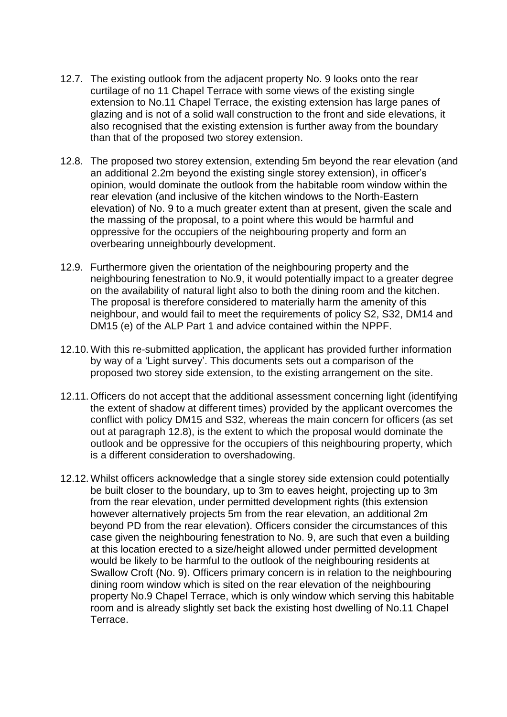- 12.7. The existing outlook from the adjacent property No. 9 looks onto the rear curtilage of no 11 Chapel Terrace with some views of the existing single extension to No.11 Chapel Terrace, the existing extension has large panes of glazing and is not of a solid wall construction to the front and side elevations, it also recognised that the existing extension is further away from the boundary than that of the proposed two storey extension.
- 12.8. The proposed two storey extension, extending 5m beyond the rear elevation (and an additional 2.2m beyond the existing single storey extension), in officer's opinion, would dominate the outlook from the habitable room window within the rear elevation (and inclusive of the kitchen windows to the North-Eastern elevation) of No. 9 to a much greater extent than at present, given the scale and the massing of the proposal, to a point where this would be harmful and oppressive for the occupiers of the neighbouring property and form an overbearing unneighbourly development.
- 12.9. Furthermore given the orientation of the neighbouring property and the neighbouring fenestration to No.9, it would potentially impact to a greater degree on the availability of natural light also to both the dining room and the kitchen. The proposal is therefore considered to materially harm the amenity of this neighbour, and would fail to meet the requirements of policy S2, S32, DM14 and DM15 (e) of the ALP Part 1 and advice contained within the NPPF.
- 12.10. With this re-submitted application, the applicant has provided further information by way of a 'Light survey'. This documents sets out a comparison of the proposed two storey side extension, to the existing arrangement on the site.
- 12.11. Officers do not accept that the additional assessment concerning light (identifying the extent of shadow at different times) provided by the applicant overcomes the conflict with policy DM15 and S32, whereas the main concern for officers (as set out at paragraph 12.8), is the extent to which the proposal would dominate the outlook and be oppressive for the occupiers of this neighbouring property, which is a different consideration to overshadowing.
- 12.12. Whilst officers acknowledge that a single storey side extension could potentially be built closer to the boundary, up to 3m to eaves height, projecting up to 3m from the rear elevation, under permitted development rights (this extension however alternatively projects 5m from the rear elevation, an additional 2m beyond PD from the rear elevation). Officers consider the circumstances of this case given the neighbouring fenestration to No. 9, are such that even a building at this location erected to a size/height allowed under permitted development would be likely to be harmful to the outlook of the neighbouring residents at Swallow Croft (No. 9). Officers primary concern is in relation to the neighbouring dining room window which is sited on the rear elevation of the neighbouring property No.9 Chapel Terrace, which is only window which serving this habitable room and is already slightly set back the existing host dwelling of No.11 Chapel Terrace.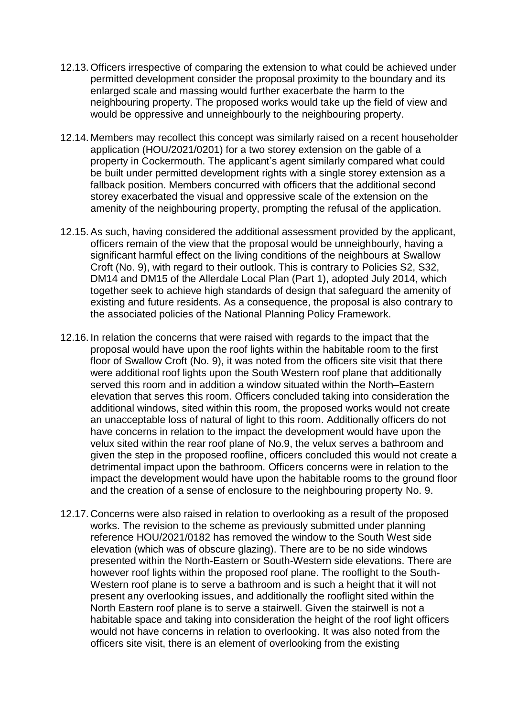- 12.13. Officers irrespective of comparing the extension to what could be achieved under permitted development consider the proposal proximity to the boundary and its enlarged scale and massing would further exacerbate the harm to the neighbouring property. The proposed works would take up the field of view and would be oppressive and unneighbourly to the neighbouring property.
- 12.14. Members may recollect this concept was similarly raised on a recent householder application (HOU/2021/0201) for a two storey extension on the gable of a property in Cockermouth. The applicant's agent similarly compared what could be built under permitted development rights with a single storey extension as a fallback position. Members concurred with officers that the additional second storey exacerbated the visual and oppressive scale of the extension on the amenity of the neighbouring property, prompting the refusal of the application.
- 12.15.As such, having considered the additional assessment provided by the applicant, officers remain of the view that the proposal would be unneighbourly, having a significant harmful effect on the living conditions of the neighbours at Swallow Croft (No. 9), with regard to their outlook. This is contrary to Policies S2, S32, DM14 and DM15 of the Allerdale Local Plan (Part 1), adopted July 2014, which together seek to achieve high standards of design that safeguard the amenity of existing and future residents. As a consequence, the proposal is also contrary to the associated policies of the National Planning Policy Framework.
- 12.16. In relation the concerns that were raised with regards to the impact that the proposal would have upon the roof lights within the habitable room to the first floor of Swallow Croft (No. 9), it was noted from the officers site visit that there were additional roof lights upon the South Western roof plane that additionally served this room and in addition a window situated within the North–Eastern elevation that serves this room. Officers concluded taking into consideration the additional windows, sited within this room, the proposed works would not create an unacceptable loss of natural of light to this room. Additionally officers do not have concerns in relation to the impact the development would have upon the velux sited within the rear roof plane of No.9, the velux serves a bathroom and given the step in the proposed roofline, officers concluded this would not create a detrimental impact upon the bathroom. Officers concerns were in relation to the impact the development would have upon the habitable rooms to the ground floor and the creation of a sense of enclosure to the neighbouring property No. 9.
- 12.17. Concerns were also raised in relation to overlooking as a result of the proposed works. The revision to the scheme as previously submitted under planning reference HOU/2021/0182 has removed the window to the South West side elevation (which was of obscure glazing). There are to be no side windows presented within the North-Eastern or South-Western side elevations. There are however roof lights within the proposed roof plane. The rooflight to the South-Western roof plane is to serve a bathroom and is such a height that it will not present any overlooking issues, and additionally the rooflight sited within the North Eastern roof plane is to serve a stairwell. Given the stairwell is not a habitable space and taking into consideration the height of the roof light officers would not have concerns in relation to overlooking. It was also noted from the officers site visit, there is an element of overlooking from the existing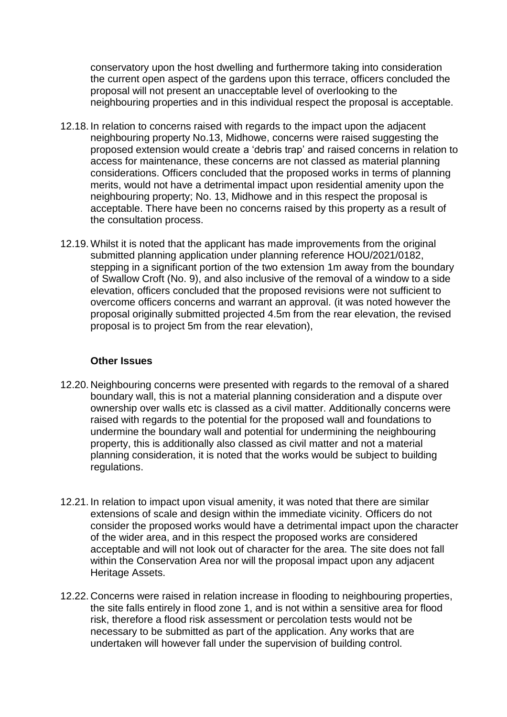conservatory upon the host dwelling and furthermore taking into consideration the current open aspect of the gardens upon this terrace, officers concluded the proposal will not present an unacceptable level of overlooking to the neighbouring properties and in this individual respect the proposal is acceptable.

- 12.18. In relation to concerns raised with regards to the impact upon the adjacent neighbouring property No.13, Midhowe, concerns were raised suggesting the proposed extension would create a 'debris trap' and raised concerns in relation to access for maintenance, these concerns are not classed as material planning considerations. Officers concluded that the proposed works in terms of planning merits, would not have a detrimental impact upon residential amenity upon the neighbouring property; No. 13, Midhowe and in this respect the proposal is acceptable. There have been no concerns raised by this property as a result of the consultation process.
- 12.19. Whilst it is noted that the applicant has made improvements from the original submitted planning application under planning reference HOU/2021/0182, stepping in a significant portion of the two extension 1m away from the boundary of Swallow Croft (No. 9), and also inclusive of the removal of a window to a side elevation, officers concluded that the proposed revisions were not sufficient to overcome officers concerns and warrant an approval. (it was noted however the proposal originally submitted projected 4.5m from the rear elevation, the revised proposal is to project 5m from the rear elevation),

### **Other Issues**

- 12.20. Neighbouring concerns were presented with regards to the removal of a shared boundary wall, this is not a material planning consideration and a dispute over ownership over walls etc is classed as a civil matter. Additionally concerns were raised with regards to the potential for the proposed wall and foundations to undermine the boundary wall and potential for undermining the neighbouring property, this is additionally also classed as civil matter and not a material planning consideration, it is noted that the works would be subject to building regulations.
- 12.21. In relation to impact upon visual amenity, it was noted that there are similar extensions of scale and design within the immediate vicinity. Officers do not consider the proposed works would have a detrimental impact upon the character of the wider area, and in this respect the proposed works are considered acceptable and will not look out of character for the area. The site does not fall within the Conservation Area nor will the proposal impact upon any adjacent Heritage Assets.
- 12.22. Concerns were raised in relation increase in flooding to neighbouring properties, the site falls entirely in flood zone 1, and is not within a sensitive area for flood risk, therefore a flood risk assessment or percolation tests would not be necessary to be submitted as part of the application. Any works that are undertaken will however fall under the supervision of building control.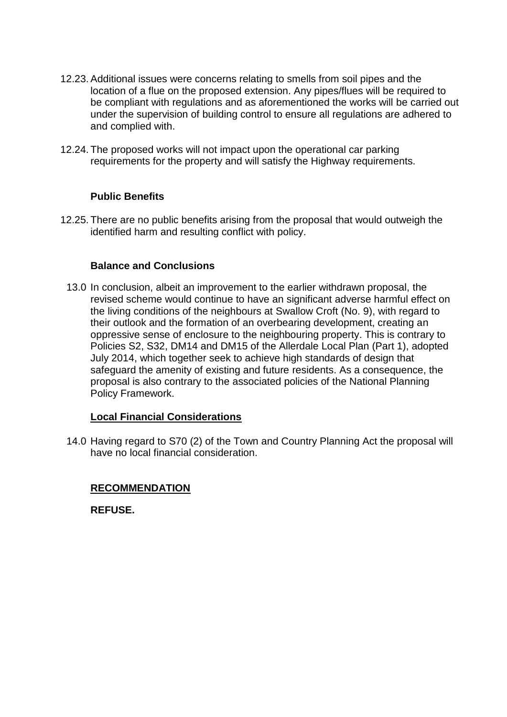- 12.23.Additional issues were concerns relating to smells from soil pipes and the location of a flue on the proposed extension. Any pipes/flues will be required to be compliant with regulations and as aforementioned the works will be carried out under the supervision of building control to ensure all regulations are adhered to and complied with.
- 12.24. The proposed works will not impact upon the operational car parking requirements for the property and will satisfy the Highway requirements.

## **Public Benefits**

12.25. There are no public benefits arising from the proposal that would outweigh the identified harm and resulting conflict with policy.

### **Balance and Conclusions**

13.0 In conclusion, albeit an improvement to the earlier withdrawn proposal, the revised scheme would continue to have an significant adverse harmful effect on the living conditions of the neighbours at Swallow Croft (No. 9), with regard to their outlook and the formation of an overbearing development, creating an oppressive sense of enclosure to the neighbouring property. This is contrary to Policies S2, S32, DM14 and DM15 of the Allerdale Local Plan (Part 1), adopted July 2014, which together seek to achieve high standards of design that safeguard the amenity of existing and future residents. As a consequence, the proposal is also contrary to the associated policies of the National Planning Policy Framework.

### **Local Financial Considerations**

14.0 Having regard to S70 (2) of the Town and Country Planning Act the proposal will have no local financial consideration.

### **RECOMMENDATION**

**REFUSE.**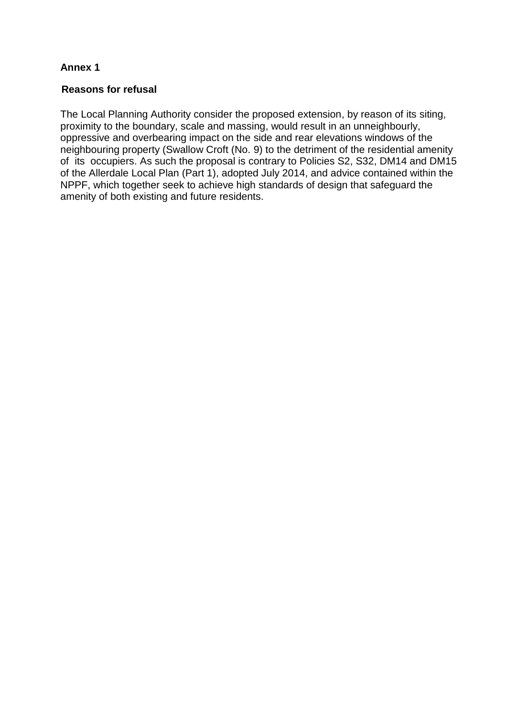# **Annex 1**

## **Reasons for refusal**

The Local Planning Authority consider the proposed extension, by reason of its siting, proximity to the boundary, scale and massing, would result in an unneighbourly, oppressive and overbearing impact on the side and rear elevations windows of the neighbouring property (Swallow Croft (No. 9) to the detriment of the residential amenity of its occupiers. As such the proposal is contrary to Policies S2, S32, DM14 and DM15 of the Allerdale Local Plan (Part 1), adopted July 2014, and advice contained within the NPPF, which together seek to achieve high standards of design that safeguard the amenity of both existing and future residents.